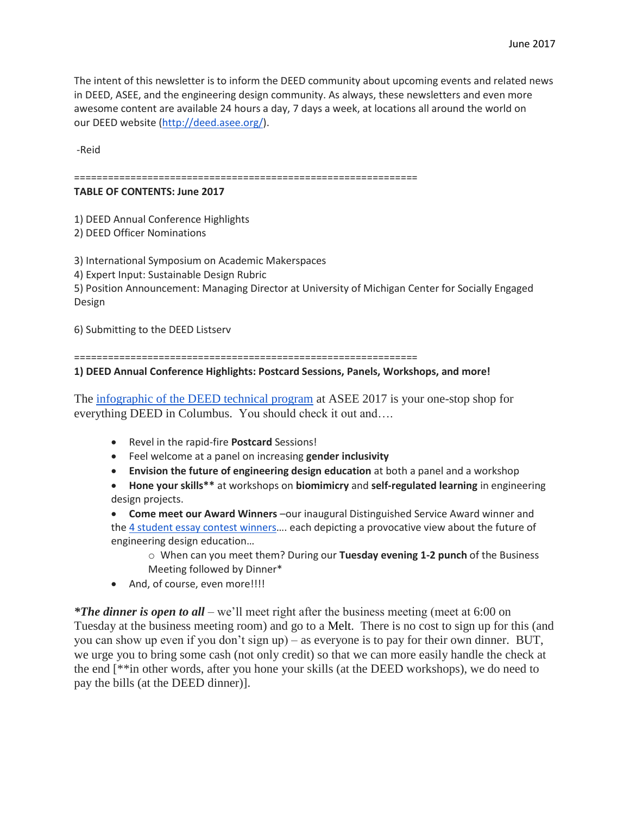The intent of this newsletter is to inform the DEED community about upcoming events and related news in DEED, ASEE, and the engineering design community. As always, these newsletters and even more awesome content are available 24 hours a day, 7 days a week, at locations all around the world on our DEED website [\(http://deed.asee.org/\)](http://deed.asee.org/).

-Reid

=============================================================

## **TABLE OF CONTENTS: June 2017**

1) DEED Annual Conference Highlights

2) DEED Officer Nominations

3) International Symposium on Academic Makerspaces

4) Expert Input: Sustainable Design Rubric

5) Position Announcement: Managing Director at University of Michigan Center for Socially Engaged Design

6) Submitting to the DEED Listserv

=============================================================

## **1) DEED Annual Conference Highlights: Postcard Sessions, Panels, Workshops, and more!**

The [infographic of the DEED technical program](http://deed.asee.org/wp-content/uploads/2015/06/DEED2017_InfographicNewsletterPicto.pdf) at ASEE 2017 is your one-stop shop for everything DEED in Columbus. You should check it out and….

- Revel in the rapid-fire **Postcard** Sessions!
- Feel welcome at a panel on increasing **gender inclusivity**
- **Envision the future of engineering design education** at both a panel and a workshop
- **Hone your skills\*\*** at workshops on **biomimicry** and **self-regulated learning** in engineering design projects.

 **Come meet our Award Winners** –our inaugural Distinguished Service Award winner and the [4 student essay contest winners](http://deed.asee.org/index.php/awards/)…. each depicting a provocative view about the future of engineering design education…

- o When can you meet them? During our **Tuesday evening 1-2 punch** of the Business Meeting followed by Dinner\*
- And, of course, even more!!!!

*\*The dinner is open to all* – we'll meet right after the business meeting (meet at 6:00 on Tuesday at the business meeting room) and go to a Melt. There is no cost to sign up for this (and you can show up even if you don't sign up) – as everyone is to pay for their own dinner. BUT, we urge you to bring some cash (not only credit) so that we can more easily handle the check at the end [\*\*in other words, after you hone your skills (at the DEED workshops), we do need to pay the bills (at the DEED dinner)].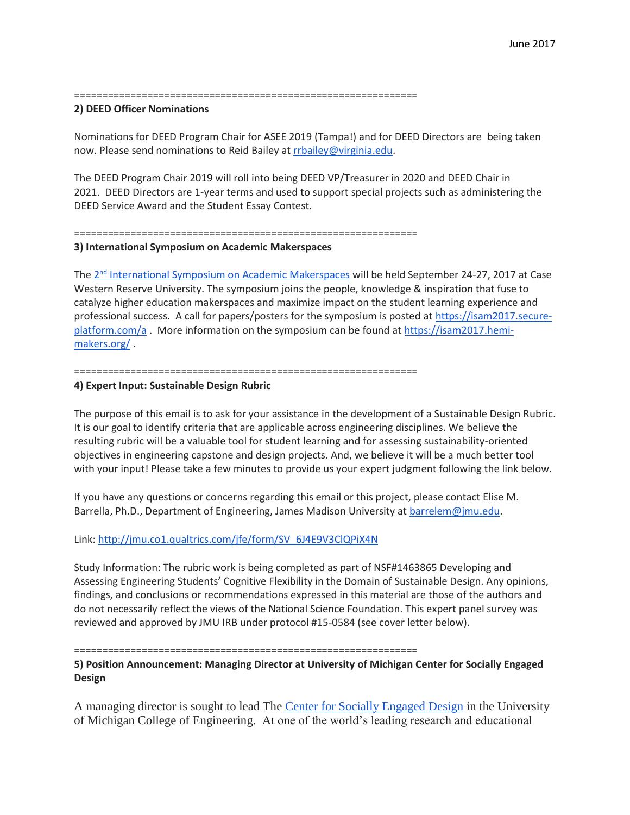=============================================================

## **2) DEED Officer Nominations**

Nominations for DEED Program Chair for ASEE 2019 (Tampa!) and for DEED Directors are being taken now. Please send nominations to Reid Bailey at [rrbailey@virginia.edu.](mailto:rrbailey@virginia.edu)

The DEED Program Chair 2019 will roll into being DEED VP/Treasurer in 2020 and DEED Chair in 2021. DEED Directors are 1-year terms and used to support special projects such as administering the DEED Service Award and the Student Essay Contest.

# =============================================================

### **3) International Symposium on Academic Makerspaces**

The 2<sup>nd</sup> [International Symposium on Academic Makerspaces](https://isam2017.hemi-makers.org/) will be held September 24-27, 2017 at Case Western Reserve University. The symposium joins the people, knowledge & inspiration that fuse to catalyze higher education makerspaces and maximize impact on the student learning experience and professional success. A call for papers/posters for the symposium is posted at [https://isam2017.secure](https://isam2017.secure-platform.com/a)[platform.com/a](https://isam2017.secure-platform.com/a) . More information on the symposium can be found at [https://isam2017.hemi](https://isam2017.hemi-makers.org/)[makers.org/](https://isam2017.hemi-makers.org/) .

#### =============================================================

## **4) Expert Input: Sustainable Design Rubric**

The purpose of this email is to ask for your assistance in the development of a Sustainable Design Rubric. It is our goal to identify criteria that are applicable across engineering disciplines. We believe the resulting rubric will be a valuable tool for student learning and for assessing sustainability-oriented objectives in engineering capstone and design projects. And, we believe it will be a much better tool with your input! Please take a few minutes to provide us your expert judgment following the link below.

If you have any questions or concerns regarding this email or this project, please contact Elise M. Barrella, Ph.D., Department of Engineering, James Madison University at **barrelem@jmu.edu**.

## Link: [http://jmu.co1.qualtrics.com/jfe/form/SV\\_6J4E9V3ClQPiX4N](http://jmu.co1.qualtrics.com/jfe/form/SV_6J4E9V3ClQPiX4N)

Study Information: The rubric work is being completed as part of NSF#1463865 Developing and Assessing Engineering Students' Cognitive Flexibility in the Domain of Sustainable Design. Any opinions, findings, and conclusions or recommendations expressed in this material are those of the authors and do not necessarily reflect the views of the National Science Foundation. This expert panel survey was reviewed and approved by JMU IRB under protocol #15-0584 (see cover letter below).

### =============================================================

**5) Position Announcement: Managing Director at University of Michigan Center for Socially Engaged Design**

A managing director is sought to lead The [Center for Socially Engaged Design](http://csed.engin.umich.edu/) in the University of Michigan College of Engineering. At one of the world's leading research and educational